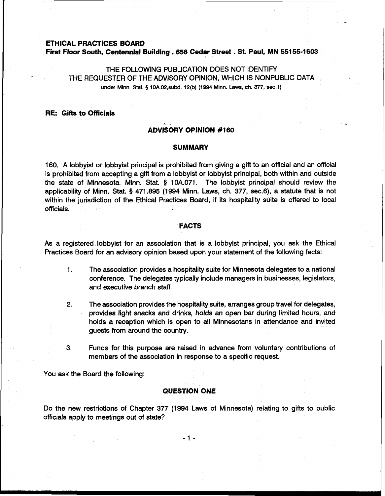#### **ETHICAL PRACTICES BOARD**

**First Floor South, Centennial Building** . **658 Cedar Street** . **St. Paul, MN 55155-1 603** 

# THE FOLLOWING PUBLICATION DOES NOT IDENTIFY THE REQUESTER OF THE ADVISORY OPINION, WHICH IS NONPUBLIC DATA **under Minn.** Stat. **5 10A.02,subd. 12(b) (1994 Minn. Laws, ch. 377, sec.1)**

# **RE: Gifts to Officials**

# **\*I** , **ADVISORY OPINION #I60**

# **SUMMARY**

160. A lobbyist or lobbyist principal is prohibited from giving a gift to an official and an official is prohibited from accepting a gift from a lobbyist or lobbyist principal, both within and outside the state of Minnesota. Minn. Stat. **5** 10A.071. The lobbyist principal should review the applicability of Minn. Stat. **5** 471.895 (1994 Minn. Laws, ch. 377, sec.6), a statute that is not within the jurisdiction of the Ethical Practices Board, if its hospitality suite is offered to local officials.

# **FACTS**

As a registered. lobbyist for an association that is a lobbyist principal, you ask the Ethical Practices Board for an advisory opinion based upon your statement of the following facts:

- 1. The association provides a hospitality suite for Minnesota delegates to a national conference. The delegates typically include managers in businesses, legislators, and executive branch staff.
- **2.** The association provides the hospitality suite, arranges group travel for delegates, provides light snacks and drinks, holds an open bar during limited hours, and holds a reception which is open to all Minnesotans in attendance and invited guests from around the country.
- **3.** Funds for this purpose are raised in advance from voluntary contributions of members of the association in response to a specific request.

You ask the Board the following:

# **QUESTION ONE**

Do the new restrictions of Chapter 377 (1994 Laws of Minnesota) relating to gifts to public officials apply to meetings out of state?

 $-1 -$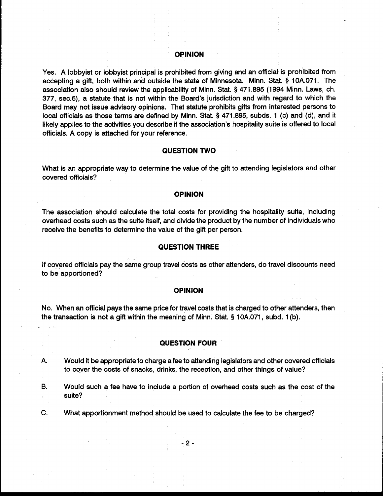#### **OPINION**

Yes. A lobbyist or lobbyist principal is prohibited from giving and an official is prohibited from accepting a gift, both within and outside the state of Minnesota. Minn. Stat. § 10A.071. The association also should review the applicability of Minn. Stat. § 471.895 (1994 Minn. Laws, ch. 377, sec.6), a statute that is not within the Board's jurisdiction and with regard to which the Board may not issue advisory opinions. That statute prohibits gifts from interested persons to local officials as those terms are defined by Minn. Stat. § 471.895, subds. 1 (c) and (d), and it likely applies to the activities you describe if the association's hospitality suite is offered to local officials. A copy is attached for your reference.

### **QUESTION TWO**

What is an appropriate way to determine the value of the gift to attending legislators and other covered officials?

### **OPINION**

The association should calculate the total costs for providing the hospitality suite, including overhead costs such as the suite itself, and divide the product by the number of individuals who receive the benefits to determine the value of the gift per person.

#### **QUESTION THREE**

If covered officials pay the same group travel costs as other attenders, do travel discounts need to be apportioned?

# **OPINION**

No. When an official pays the same price for travel costs that is charged to other attenders, then the transaction is not a gift within the meaning of Minn. Stat. § 10A.071, subd. 1(b).

# **QUESTION FOUR**

Would it be appropriate to charge a fee to attending legislators and other covered officials А. to cover the costs of snacks, drinks, the reception, and other things of value?

В. Would such a fee have to include a portion of overhead costs such as the cost of the suite?

What apportionment method should be used to calculate the fee to be charged? C.

 $-2-$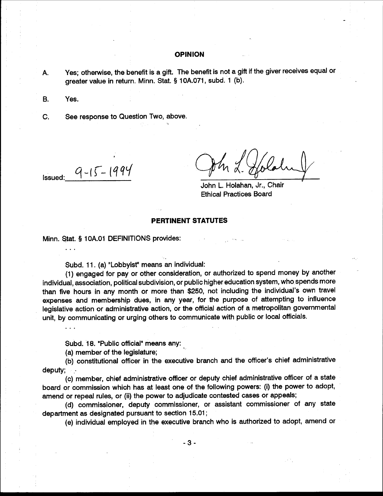### **OPINION**

Yes; otherwise, the benefit is a gift. The benefit is not a gift if the giver receives equal or А. greater value in return. Minn. Stat. § 10A.071, subd. 1 (b).

**B.** Yes.

See response to Question Two, above. C.

 $9 - 15 - 1994$ Issued:

 $\ddotsc$ 

 $\mathbb{R}^2$ 

John L. Holahan, Jr., Chair **Ethical Practices Board** 

# **PERTINENT STATUTES**

Minn. Stat. § 10A.01 DEFINITIONS provides:

Subd. 11. (a) "Lobbyist" means an individual:

(1) engaged for pay or other consideration, or authorized to spend money by another individual, association, political subdivision, or public higher education system, who spends more than five hours in any month or more than \$250, not including the individual's own travel expenses and membership dues, in any year, for the purpose of attempting to influence legislative action or administrative action, or the official action of a metropolitan governmental unit, by communicating or urging others to communicate with public or local officials.

Subd. 18. "Public official" means any:

(a) member of the legislature;

(b) constitutional officer in the executive branch and the officer's chief administrative deputy;

(c) member, chief administrative officer or deputy chief administrative officer of a state board or commission which has at least one of the following powers: (i) the power to adopt, amend or repeal rules, or (ii) the power to adjudicate contested cases or appeals;

(d) commissioner, deputy commissioner, or assistant commissioner of any state department as designated pursuant to section 15.01;

(e) individual employed in the executive branch who is authorized to adopt, amend or

 $-3-$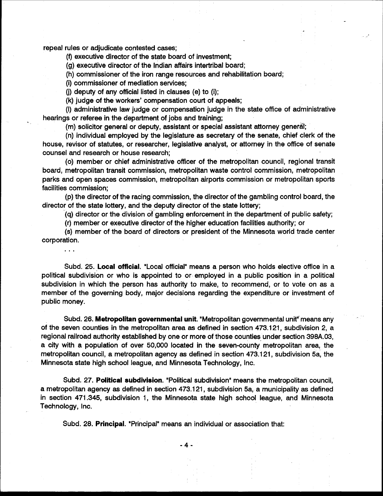repeal rules or adjudicate contested cases;

 $\ddotsc$ 

(f) executive director of the state board of investment;

(g) executive director of the Indian affairs intertribal board;

(h) commissioner of the iron range resources and rehabilitation board;

(i) commissioner of mediation services;

(i) deputy of any official listed in clauses (e) to (i);

(k) judge of the workers' compensation court of appeals;

(I) administrative law judge or compensation judge in the state office of administrative hearings or referee in the department of jobs and training;

(m) solicitor general or deputy, assistant or special assistant attorney general;

(n) individual employed by the legislature as secretary of the senate, chief clerk of the house, revisor of statutes, or researcher, legislative analyst, or attorney in the office of senate counsel and research or house research;

(o) member or chief administrative officer of the metropolitan council, regional transit board, metropolitan transit commission, metropolitan waste control commission, metropolitan parks and open spaces commission, metropolitan airports commission or metropolitan sports facilities commission;

(p) the director of the racing commission, the director of the gambling control board, the director of the state lottery, and the deputy director of the state lottery;

(q) director or the division of gambling enforcement in the department of public safety;

(r) member or executive director of the higher education facilities authority; or

(s) member of the board of directors or president of the Minnesota world trade center corporation.

Subd. 25. Local official. "Local official" means a person who holds elective office in a political subdivision or who is appointed to or employed in a public position in a political subdivision in which the person has authority to make, to recommend, or to vote on as a member of the governing body, major decisions regarding the expenditure or investment of public money.

Subd. 26. Metropolitan governmental unit. "Metropolitan governmental unit" means any of the seven counties in the metropolitan area as defined in section 473.121, subdivision 2, a regional railroad authority established by one or more of those counties under section 398A.03, a city with a population of over 50,000 located in the seven-county metropolitan area, the metropolitan council, a metropolitan agency as defined in section 473.121, subdivision 5a, the Minnesota state high school league, and Minnesota Technology, Inc.

Subd. 27. Political subdivision. "Political subdivision" means the metropolitan council, a metropolitan agency as defined in section 473.121, subdivision 5a, a municipality as defined in section 471.345, subdivision 1, the Minnesota state high school league, and Minnesota Technology, Inc.

-4-

Subd. 28. Principal. "Principal" means an individual or association that: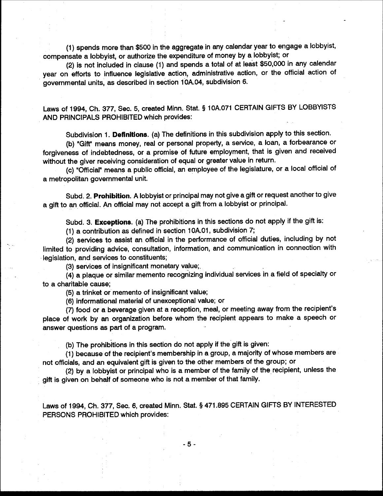(1) spends more than \$500 in the aggregate in any calendar year to engage a lobbyist, compensate a lobbyist, or authorize the expenditure of money by a lobbyist; or

(2) is not included in clause (1) and spends a total of at least \$50,000 in any calendar year on efforts to influence legislative action, administrative action, or the official action of governmental units, as described in section 10A.04, subdivision 6.

Laws of 1994, Ch. 377, Sec. 5, created Minn. Stat. § 10A.071 CERTAIN GIFTS BY LOBBYISTS AND PRINCIPALS PROHIBITED which provides:

Subdivision 1. Definitions. (a) The definitions in this subdivision apply to this section.

(b) "Gift" means money, real or personal property, a service, a loan, a forbearance or forgiveness of indebtedness, or a promise of future employment, that is given and received without the giver receiving consideration of equal or greater value in return.

(c) "Official" means a public official, an employee of the legislature, or a local official of a metropolitan governmental unit.

Subd. 2. Prohibition. A lobbyist or principal may not give a gift or request another to give a gift to an official. An official may not accept a gift from a lobbyist or principal.

Subd. 3. Exceptions. (a) The prohibitions in this sections do not apply if the gift is:

(1) a contribution as defined in section 10A.01, subdivision 7;

(2) services to assist an official in the performance of official duties, including by not limited to providing advice, consultation, information, and communication in connection with legislation, and services to constituents;

(3) services of insignificant monetary value:

(4) a plaque or similar memento recognizing individual services in a field of specialty or to a charitable cause;

(5) a trinket or memento of insignificant value;

(6) informational material of unexceptional value; or

(7) food or a beverage given at a reception, meal, or meeting away from the recipient's place of work by an organization before whom the recipient appears to make a speech or answer questions as part of a program.

(b) The prohibitions in this section do not apply if the gift is given:

(1) because of the recipient's membership in a group, a majority of whose members are not officials, and an equivalent gift is given to the other members of the group; or

(2) by a lobbyist or principal who is a member of the family of the recipient, unless the gift is given on behalf of someone who is not a member of that family.

Laws of 1994, Ch. 377, Sec. 6, created Minn. Stat. § 471.895 CERTAIN GIFTS BY INTERESTED PERSONS PROHIBITED which provides:

 $-5 -$